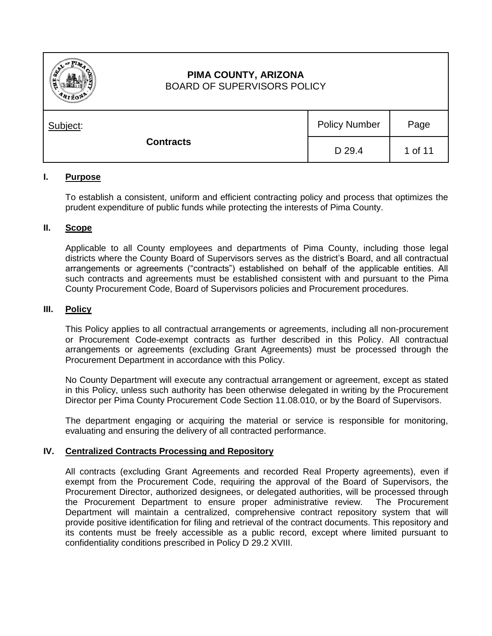

# **PIMA COUNTY, ARIZONA** BOARD OF SUPERVISORS POLICY

| Subject:         | <b>Policy Number</b> | Page    |
|------------------|----------------------|---------|
| <b>Contracts</b> | D 29.4               | 1 of 11 |

## **I. Purpose**

To establish a consistent, uniform and efficient contracting policy and process that optimizes the prudent expenditure of public funds while protecting the interests of Pima County.

## **II. Scope**

Applicable to all County employees and departments of Pima County, including those legal districts where the County Board of Supervisors serves as the district's Board, and all contractual arrangements or agreements ("contracts") established on behalf of the applicable entities. All such contracts and agreements must be established consistent with and pursuant to the Pima County Procurement Code, Board of Supervisors policies and Procurement procedures.

## **III. Policy**

This Policy applies to all contractual arrangements or agreements, including all non-procurement or Procurement Code-exempt contracts as further described in this Policy. All contractual arrangements or agreements (excluding Grant Agreements) must be processed through the Procurement Department in accordance with this Policy.

No County Department will execute any contractual arrangement or agreement, except as stated in this Policy, unless such authority has been otherwise delegated in writing by the Procurement Director per Pima County Procurement Code Section 11.08.010, or by the Board of Supervisors.

The department engaging or acquiring the material or service is responsible for monitoring, evaluating and ensuring the delivery of all contracted performance.

## **IV. Centralized Contracts Processing and Repository**

All contracts (excluding Grant Agreements and recorded Real Property agreements), even if exempt from the Procurement Code, requiring the approval of the Board of Supervisors, the Procurement Director, authorized designees, or delegated authorities, will be processed through the Procurement Department to ensure proper administrative review. The Procurement Department will maintain a centralized, comprehensive contract repository system that will provide positive identification for filing and retrieval of the contract documents. This repository and its contents must be freely accessible as a public record, except where limited pursuant to confidentiality conditions prescribed in Policy D 29.2 XVIII.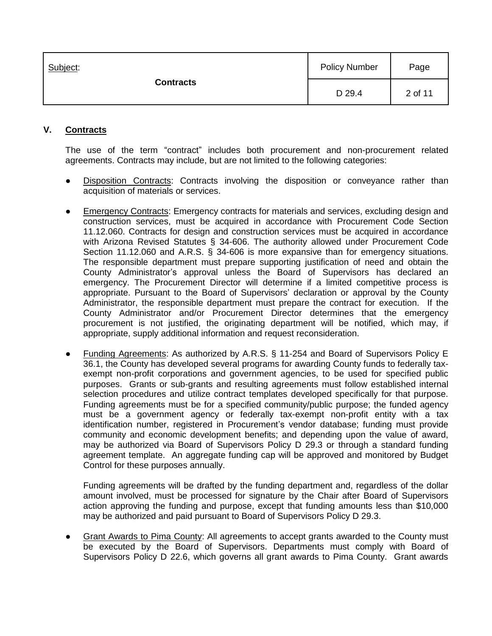| Subject:<br><b>Contracts</b> | <b>Policy Number</b> | Page    |
|------------------------------|----------------------|---------|
|                              | D 29.4               | 2 of 11 |

# **V. Contracts**

The use of the term "contract" includes both procurement and non-procurement related agreements. Contracts may include, but are not limited to the following categories:

- Disposition Contracts: Contracts involving the disposition or conveyance rather than acquisition of materials or services.
- Emergency Contracts: Emergency contracts for materials and services, excluding design and construction services, must be acquired in accordance with Procurement Code Section 11.12.060. Contracts for design and construction services must be acquired in accordance with Arizona Revised Statutes § 34-606. The authority allowed under Procurement Code Section 11.12.060 and A.R.S. § 34-606 is more expansive than for emergency situations. The responsible department must prepare supporting justification of need and obtain the County Administrator's approval unless the Board of Supervisors has declared an emergency. The Procurement Director will determine if a limited competitive process is appropriate. Pursuant to the Board of Supervisors' declaration or approval by the County Administrator, the responsible department must prepare the contract for execution. If the County Administrator and/or Procurement Director determines that the emergency procurement is not justified, the originating department will be notified, which may, if appropriate, supply additional information and request reconsideration.
- Funding Agreements: As authorized by A.R.S. § 11-254 and Board of Supervisors Policy E 36.1, the County has developed several programs for awarding County funds to federally taxexempt non-profit corporations and government agencies, to be used for specified public purposes. Grants or sub-grants and resulting agreements must follow established internal selection procedures and utilize contract templates developed specifically for that purpose. Funding agreements must be for a specified community/public purpose; the funded agency must be a government agency or federally tax-exempt non-profit entity with a tax identification number, registered in Procurement's vendor database; funding must provide community and economic development benefits; and depending upon the value of award, may be authorized via Board of Supervisors Policy D 29.3 or through a standard funding agreement template. An aggregate funding cap will be approved and monitored by Budget Control for these purposes annually.

Funding agreements will be drafted by the funding department and, regardless of the dollar amount involved, must be processed for signature by the Chair after Board of Supervisors action approving the funding and purpose, except that funding amounts less than \$10,000 may be authorized and paid pursuant to Board of Supervisors Policy D 29.3.

Grant Awards to Pima County: All agreements to accept grants awarded to the County must be executed by the Board of Supervisors. Departments must comply with Board of Supervisors Policy D 22.6, which governs all grant awards to Pima County. Grant awards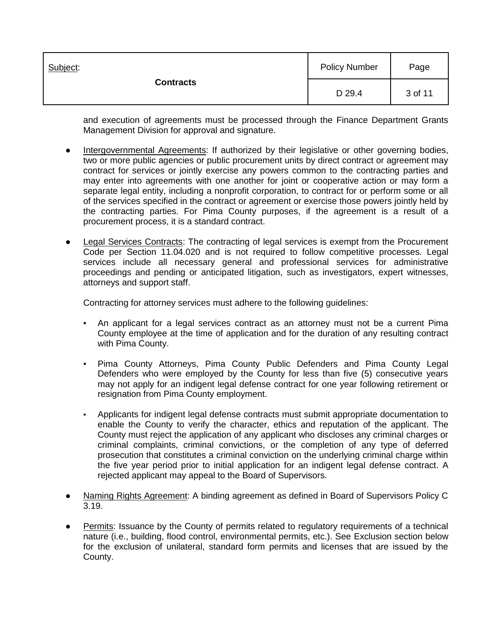| Subject:<br><b>Contracts</b> | <b>Policy Number</b> | Page    |
|------------------------------|----------------------|---------|
|                              | D 29.4               | 3 of 11 |

and execution of agreements must be processed through the Finance Department Grants Management Division for approval and signature.

- Intergovernmental Agreements: If authorized by their legislative or other governing bodies, two or more public agencies or public procurement units by direct contract or agreement may contract for services or jointly exercise any powers common to the contracting parties and may enter into agreements with one another for joint or cooperative action or may form a separate legal entity, including a nonprofit corporation, to contract for or perform some or all of the services specified in the contract or agreement or exercise those powers jointly held by the contracting parties. For Pima County purposes, if the agreement is a result of a procurement process, it is a standard contract.
- **Legal Services Contracts:** The contracting of legal services is exempt from the Procurement Code per Section 11.04.020 and is not required to follow competitive processes. Legal services include all necessary general and professional services for administrative proceedings and pending or anticipated litigation, such as investigators, expert witnesses, attorneys and support staff.

Contracting for attorney services must adhere to the following guidelines:

- An applicant for a legal services contract as an attorney must not be a current Pima County employee at the time of application and for the duration of any resulting contract with Pima County.
- Pima County Attorneys, Pima County Public Defenders and Pima County Legal Defenders who were employed by the County for less than five (5) consecutive years may not apply for an indigent legal defense contract for one year following retirement or resignation from Pima County employment.
- Applicants for indigent legal defense contracts must submit appropriate documentation to enable the County to verify the character, ethics and reputation of the applicant. The County must reject the application of any applicant who discloses any criminal charges or criminal complaints, criminal convictions, or the completion of any type of deferred prosecution that constitutes a criminal conviction on the underlying criminal charge within the five year period prior to initial application for an indigent legal defense contract. A rejected applicant may appeal to the Board of Supervisors.
- Naming Rights Agreement: A binding agreement as defined in Board of Supervisors Policy C 3.19.
- Permits: Issuance by the County of permits related to regulatory requirements of a technical nature (i.e., building, flood control, environmental permits, etc.). See Exclusion section below for the exclusion of unilateral, standard form permits and licenses that are issued by the County.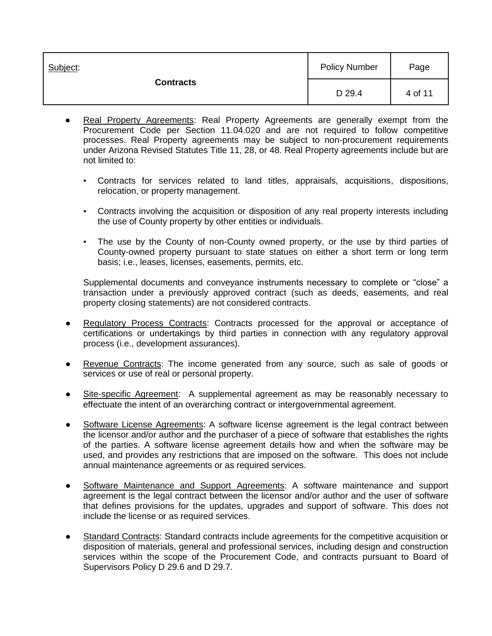| Subject:         | <b>Policy Number</b> | Page    |
|------------------|----------------------|---------|
| <b>Contracts</b> | D 29.4               | 4 of 11 |

- Real Property Agreements: Real Property Agreements are generally exempt from the Procurement Code per Section 11.04.020 and are not required to follow competitive processes. Real Property agreements may be subject to non-procurement requirements under Arizona Revised Statutes Title 11, 28, or 48. Real Property agreements include but are not limited to:
	- Contracts for services related to land titles, appraisals, acquisitions, dispositions, relocation, or property management.
	- Contracts involving the acquisition or disposition of any real property interests including the use of County property by other entities or individuals.
	- The use by the County of non-County owned property, or the use by third parties of County-owned property pursuant to state statues on either a short term or long term basis; i.e., leases, licenses, easements, permits, etc.

Supplemental documents and conveyance instruments necessary to complete or "close" a transaction under a previously approved contract (such as deeds, easements, and real property closing statements) are not considered contracts.

- Regulatory Process Contracts: Contracts processed for the approval or acceptance of certifications or undertakings by third parties in connection with any regulatory approval process (i.e., development assurances).
- Revenue Contracts: The [income](http://www.businessdictionary.com/definition/income.html) generated from any source, such as sale of goods or services or use of real or personal property.
- Site-specific Agreement: A supplemental agreement as may be reasonably necessary to effectuate the intent of an overarching contract or intergovernmental agreement.
- Software License Agreements: A software license agreement is the legal contract between the licensor and/or author and the purchaser of a piece of software that establishes the rights of the parties. A software license agreement details how and when the software may be used, and provides any restrictions that are imposed on the software. This does not include annual maintenance agreements or as required services.
- Software Maintenance and Support Agreements: A software maintenance and support agreement is the legal contract between the licensor and/or author and the user of software that defines provisions for the updates, upgrades and support of software. This does not include the license or as required services.
- Standard Contracts: Standard contracts include agreements for the competitive acquisition or disposition of materials, general and professional services, including design and construction services within the scope of the Procurement Code, and contracts pursuant to Board of Supervisors Policy D 29.6 and D 29.7.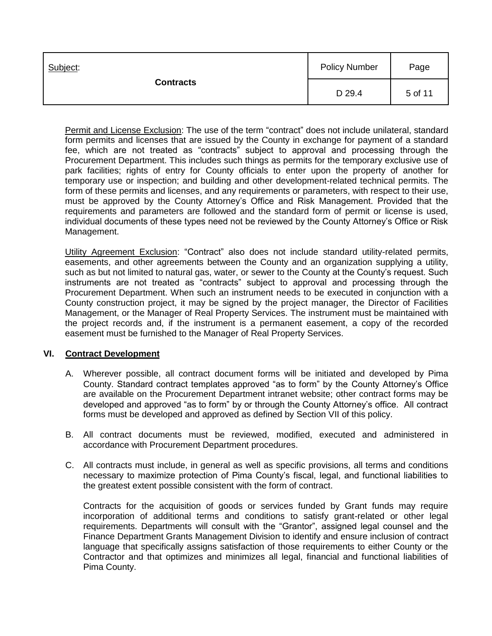| Subject:<br><b>Contracts</b> | <b>Policy Number</b> | Page    |
|------------------------------|----------------------|---------|
|                              | D 29.4               | 5 of 11 |

Permit and License Exclusion: The use of the term "contract" does not include unilateral, standard form permits and licenses that are issued by the County in exchange for payment of a standard fee, which are not treated as "contracts" subject to approval and processing through the Procurement Department. This includes such things as permits for the temporary exclusive use of park facilities; rights of entry for County officials to enter upon the property of another for temporary use or inspection; and building and other development-related technical permits. The form of these permits and licenses, and any requirements or parameters, with respect to their use, must be approved by the County Attorney's Office and Risk Management. Provided that the requirements and parameters are followed and the standard form of permit or license is used, individual documents of these types need not be reviewed by the County Attorney's Office or Risk Management.

Utility Agreement Exclusion: "Contract" also does not include standard utility-related permits, easements, and other agreements between the County and an organization supplying a utility, such as but not limited to natural gas, water, or sewer to the County at the County's request. Such instruments are not treated as "contracts" subject to approval and processing through the Procurement Department. When such an instrument needs to be executed in conjunction with a County construction project, it may be signed by the project manager, the Director of Facilities Management, or the Manager of Real Property Services. The instrument must be maintained with the project records and, if the instrument is a permanent easement, a copy of the recorded easement must be furnished to the Manager of Real Property Services.

## **VI. Contract Development**

- A. Wherever possible, all contract document forms will be initiated and developed by Pima County. Standard contract templates approved "as to form" by the County Attorney's Office are available on the Procurement Department intranet website; other contract forms may be developed and approved "as to form" by or through the County Attorney's office. All contract forms must be developed and approved as defined by Section VII of this policy.
- B. All contract documents must be reviewed, modified, executed and administered in accordance with Procurement Department procedures.
- C. All contracts must include, in general as well as specific provisions, all terms and conditions necessary to maximize protection of Pima County's fiscal, legal, and functional liabilities to the greatest extent possible consistent with the form of contract.

Contracts for the acquisition of goods or services funded by Grant funds may require incorporation of additional terms and conditions to satisfy grant-related or other legal requirements. Departments will consult with the "Grantor", assigned legal counsel and the Finance Department Grants Management Division to identify and ensure inclusion of contract language that specifically assigns satisfaction of those requirements to either County or the Contractor and that optimizes and minimizes all legal, financial and functional liabilities of Pima County.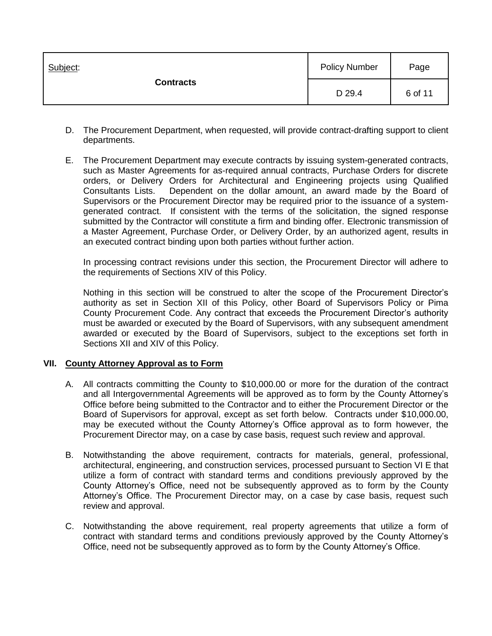| Subject:<br><b>Contracts</b> | <b>Policy Number</b> | Page    |
|------------------------------|----------------------|---------|
|                              | D 29.4               | 6 of 11 |

- D. The Procurement Department, when requested, will provide contract-drafting support to client departments.
- E. The Procurement Department may execute contracts by issuing system-generated contracts, such as Master Agreements for as-required annual contracts, Purchase Orders for discrete orders, or Delivery Orders for Architectural and Engineering projects using Qualified Consultants Lists. Dependent on the dollar amount, an award made by the Board of Supervisors or the Procurement Director may be required prior to the issuance of a systemgenerated contract. If consistent with the terms of the solicitation, the signed response submitted by the Contractor will constitute a firm and binding offer. Electronic transmission of a Master Agreement, Purchase Order, or Delivery Order, by an authorized agent, results in an executed contract binding upon both parties without further action.

In processing contract revisions under this section, the Procurement Director will adhere to the requirements of Sections XIV of this Policy.

Nothing in this section will be construed to alter the scope of the Procurement Director's authority as set in Section XII of this Policy, other Board of Supervisors Policy or Pima County Procurement Code. Any contract that exceeds the Procurement Director's authority must be awarded or executed by the Board of Supervisors, with any subsequent amendment awarded or executed by the Board of Supervisors, subject to the exceptions set forth in Sections XII and XIV of this Policy.

## **VII. County Attorney Approval as to Form**

- A. All contracts committing the County to \$10,000.00 or more for the duration of the contract and all Intergovernmental Agreements will be approved as to form by the County Attorney's Office before being submitted to the Contractor and to either the Procurement Director or the Board of Supervisors for approval, except as set forth below. Contracts under \$10,000.00, may be executed without the County Attorney's Office approval as to form however, the Procurement Director may, on a case by case basis, request such review and approval.
- B. Notwithstanding the above requirement, contracts for materials, general, professional, architectural, engineering, and construction services, processed pursuant to Section VI E that utilize a form of contract with standard terms and conditions previously approved by the County Attorney's Office, need not be subsequently approved as to form by the County Attorney's Office. The Procurement Director may, on a case by case basis, request such review and approval.
- C. Notwithstanding the above requirement, real property agreements that utilize a form of contract with standard terms and conditions previously approved by the County Attorney's Office, need not be subsequently approved as to form by the County Attorney's Office.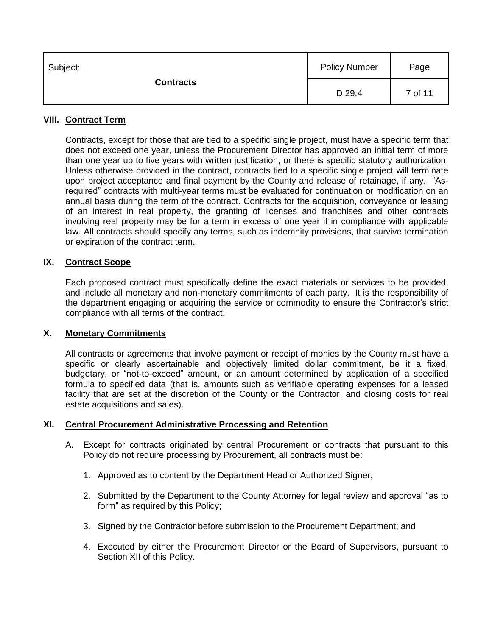| Subject:<br><b>Contracts</b> | <b>Policy Number</b> | Page    |
|------------------------------|----------------------|---------|
|                              | D 29.4               | 7 of 11 |

## **VIII. Contract Term**

Contracts, except for those that are tied to a specific single project, must have a specific term that does not exceed one year, unless the Procurement Director has approved an initial term of more than one year up to five years with written justification, or there is specific statutory authorization. Unless otherwise provided in the contract, contracts tied to a specific single project will terminate upon project acceptance and final payment by the County and release of retainage, if any. "Asrequired" contracts with multi-year terms must be evaluated for continuation or modification on an annual basis during the term of the contract. Contracts for the acquisition, conveyance or leasing of an interest in real property, the granting of licenses and franchises and other contracts involving real property may be for a term in excess of one year if in compliance with applicable law. All contracts should specify any terms, such as indemnity provisions, that survive termination or expiration of the contract term.

## **IX. Contract Scope**

Each proposed contract must specifically define the exact materials or services to be provided, and include all monetary and non-monetary commitments of each party. It is the responsibility of the department engaging or acquiring the service or commodity to ensure the Contractor's strict compliance with all terms of the contract.

## **X. Monetary Commitments**

All contracts or agreements that involve payment or receipt of monies by the County must have a specific or clearly ascertainable and objectively limited dollar commitment, be it a fixed, budgetary, or "not-to-exceed" amount, or an amount determined by application of a specified formula to specified data (that is, amounts such as verifiable operating expenses for a leased facility that are set at the discretion of the County or the Contractor, and closing costs for real estate acquisitions and sales).

## **XI. Central Procurement Administrative Processing and Retention**

- A. Except for contracts originated by central Procurement or contracts that pursuant to this Policy do not require processing by Procurement, all contracts must be:
	- 1. Approved as to content by the Department Head or Authorized Signer;
	- 2. Submitted by the Department to the County Attorney for legal review and approval "as to form" as required by this Policy;
	- 3. Signed by the Contractor before submission to the Procurement Department; and
	- 4. Executed by either the Procurement Director or the Board of Supervisors, pursuant to Section XII of this Policy.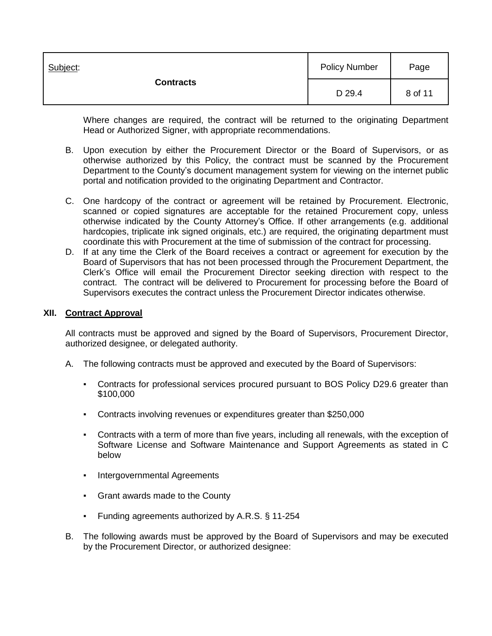| Subject:<br><b>Contracts</b> | <b>Policy Number</b> | Page    |
|------------------------------|----------------------|---------|
|                              | D 29.4               | 8 of 11 |

Where changes are required, the contract will be returned to the originating Department Head or Authorized Signer, with appropriate recommendations.

- B. Upon execution by either the Procurement Director or the Board of Supervisors, or as otherwise authorized by this Policy, the contract must be scanned by the Procurement Department to the County's document management system for viewing on the internet public portal and notification provided to the originating Department and Contractor.
- C. One hardcopy of the contract or agreement will be retained by Procurement. Electronic, scanned or copied signatures are acceptable for the retained Procurement copy, unless otherwise indicated by the County Attorney's Office. If other arrangements (e.g. additional hardcopies, triplicate ink signed originals, etc.) are required, the originating department must coordinate this with Procurement at the time of submission of the contract for processing.
- D. If at any time the Clerk of the Board receives a contract or agreement for execution by the Board of Supervisors that has not been processed through the Procurement Department, the Clerk's Office will email the Procurement Director seeking direction with respect to the contract. The contract will be delivered to Procurement for processing before the Board of Supervisors executes the contract unless the Procurement Director indicates otherwise.

#### **XII. Contract Approval**

All contracts must be approved and signed by the Board of Supervisors, Procurement Director, authorized designee, or delegated authority.

- A. The following contracts must be approved and executed by the Board of Supervisors:
	- Contracts for professional services procured pursuant to BOS Policy D29.6 greater than \$100,000
	- Contracts involving revenues or expenditures greater than \$250,000
	- Contracts with a term of more than five years, including all renewals, with the exception of Software License and Software Maintenance and Support Agreements as stated in C below
	- Intergovernmental Agreements
	- Grant awards made to the County
	- Funding agreements authorized by A.R.S. § 11-254
- B. The following awards must be approved by the Board of Supervisors and may be executed by the Procurement Director, or authorized designee: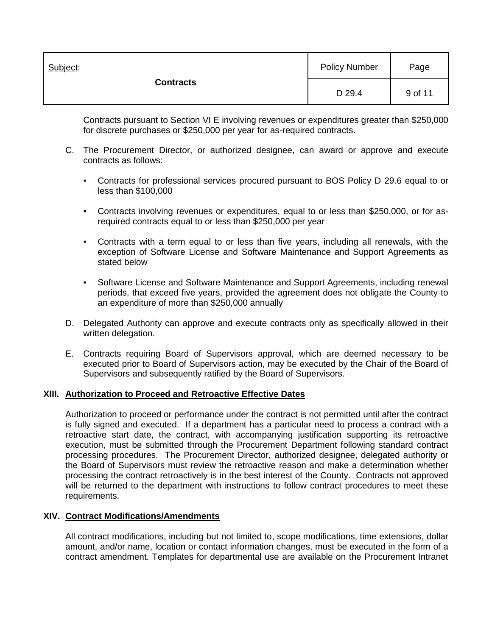| Subject:<br><b>Contracts</b> | <b>Policy Number</b> | Page    |
|------------------------------|----------------------|---------|
|                              | D 29.4               | 9 of 11 |

Contracts pursuant to Section VI E involving revenues or expenditures greater than \$250,000 for discrete purchases or \$250,000 per year for as-required contracts.

- C. The Procurement Director, or authorized designee, can award or approve and execute contracts as follows:
	- Contracts for professional services procured pursuant to BOS Policy D 29.6 equal to or less than \$100,000
	- Contracts involving revenues or expenditures, equal to or less than \$250,000, or for asrequired contracts equal to or less than \$250,000 per year
	- Contracts with a term equal to or less than five years, including all renewals, with the exception of Software License and Software Maintenance and Support Agreements as stated below
	- Software License and Software Maintenance and Support Agreements, including renewal periods, that exceed five years, provided the agreement does not obligate the County to an expenditure of more than \$250,000 annually
- D. Delegated Authority can approve and execute contracts only as specifically allowed in their written delegation.
- E. Contracts requiring Board of Supervisors approval, which are deemed necessary to be executed prior to Board of Supervisors action, may be executed by the Chair of the Board of Supervisors and subsequently ratified by the Board of Supervisors.

## **XIII. Authorization to Proceed and Retroactive Effective Dates**

Authorization to proceed or performance under the contract is not permitted until after the contract is fully signed and executed. If a department has a particular need to process a contract with a retroactive start date, the contract, with accompanying justification supporting its retroactive execution, must be submitted through the Procurement Department following standard contract processing procedures. The Procurement Director, authorized designee, delegated authority or the Board of Supervisors must review the retroactive reason and make a determination whether processing the contract retroactively is in the best interest of the County. Contracts not approved will be returned to the department with instructions to follow contract procedures to meet these requirements.

## **XIV. Contract Modifications/Amendments**

All contract modifications, including but not limited to, scope modifications, time extensions, dollar amount, and/or name, location or contact information changes, must be executed in the form of a contract amendment. Templates for departmental use are available on the Procurement Intranet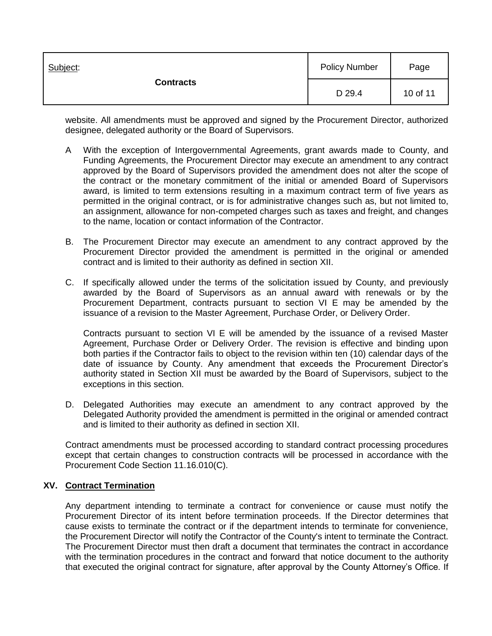| Subject:<br><b>Contracts</b> | <b>Policy Number</b> | Page     |
|------------------------------|----------------------|----------|
|                              | D 29.4               | 10 of 11 |

website. All amendments must be approved and signed by the Procurement Director, authorized designee, delegated authority or the Board of Supervisors.

- A With the exception of Intergovernmental Agreements, grant awards made to County, and Funding Agreements, the Procurement Director may execute an amendment to any contract approved by the Board of Supervisors provided the amendment does not alter the scope of the contract or the monetary commitment of the initial or amended Board of Supervisors award, is limited to term extensions resulting in a maximum contract term of five years as permitted in the original contract, or is for administrative changes such as, but not limited to, an assignment, allowance for non-competed charges such as taxes and freight, and changes to the name, location or contact information of the Contractor.
- B. The Procurement Director may execute an amendment to any contract approved by the Procurement Director provided the amendment is permitted in the original or amended contract and is limited to their authority as defined in section XII.
- C. If specifically allowed under the terms of the solicitation issued by County, and previously awarded by the Board of Supervisors as an annual award with renewals or by the Procurement Department, contracts pursuant to section VI E may be amended by the issuance of a revision to the Master Agreement, Purchase Order, or Delivery Order.

Contracts pursuant to section VI E will be amended by the issuance of a revised Master Agreement, Purchase Order or Delivery Order. The revision is effective and binding upon both parties if the Contractor fails to object to the revision within ten (10) calendar days of the date of issuance by County. Any amendment that exceeds the Procurement Director's authority stated in Section XII must be awarded by the Board of Supervisors, subject to the exceptions in this section.

D. Delegated Authorities may execute an amendment to any contract approved by the Delegated Authority provided the amendment is permitted in the original or amended contract and is limited to their authority as defined in section XII.

Contract amendments must be processed according to standard contract processing procedures except that certain changes to construction contracts will be processed in accordance with the Procurement Code Section 11.16.010(C).

## **XV. Contract Termination**

Any department intending to terminate a contract for convenience or cause must notify the Procurement Director of its intent before termination proceeds. If the Director determines that cause exists to terminate the contract or if the department intends to terminate for convenience, the Procurement Director will notify the Contractor of the County's intent to terminate the Contract. The Procurement Director must then draft a document that terminates the contract in accordance with the termination procedures in the contract and forward that notice document to the authority that executed the original contract for signature, after approval by the County Attorney's Office. If